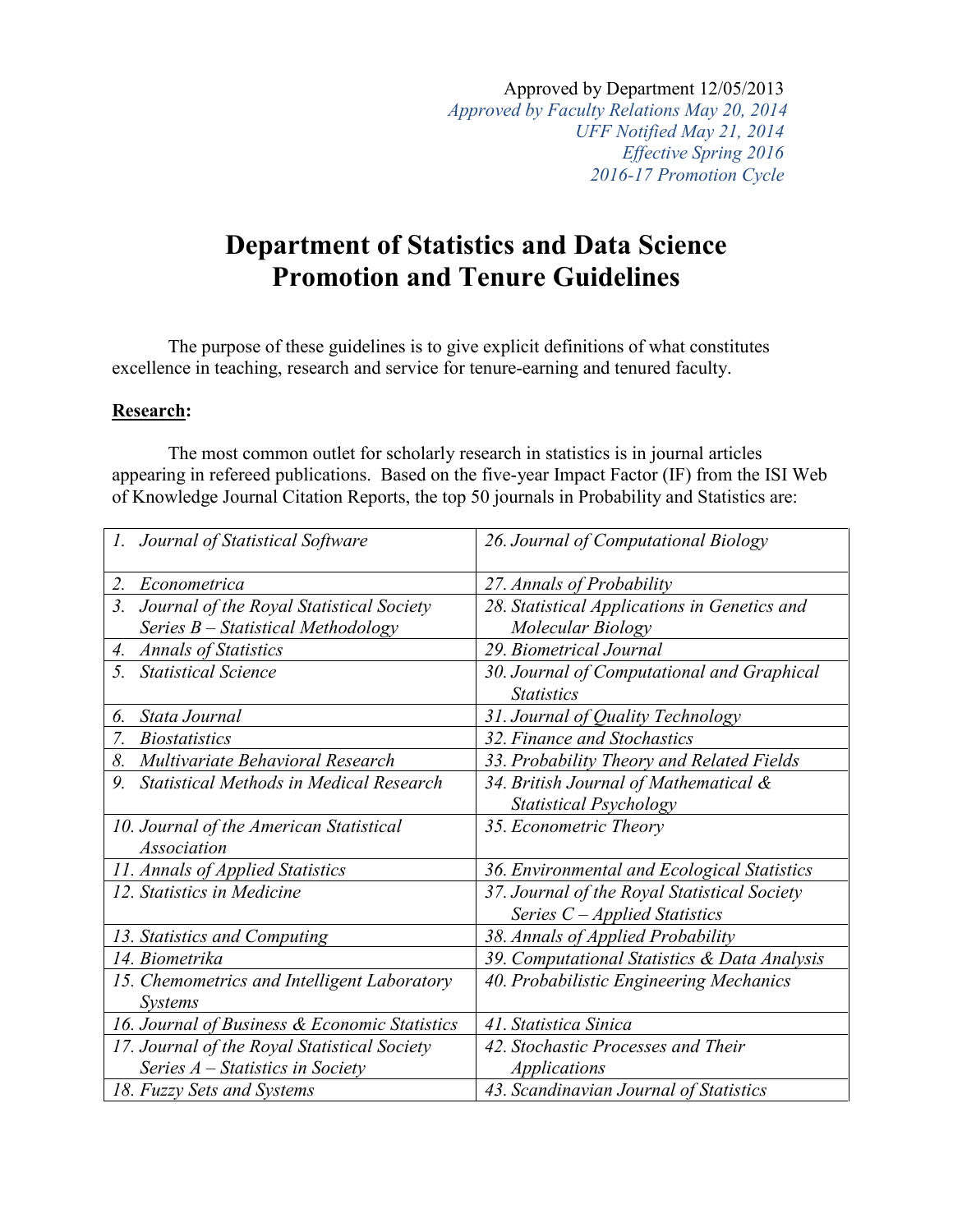Approved by Department 12/05/2013 *Approved by Faculty Relations May 20, 2014 UFF Notified May 21, 2014 Effective Spring 2016 2016-17 Promotion Cycle*

## **Department of Statistics and Data Science Promotion and Tenure Guidelines**

The purpose of these guidelines is to give explicit definitions of what constitutes excellence in teaching, research and service for tenure-earning and tenured faculty.

## **Research:**

The most common outlet for scholarly research in statistics is in journal articles appearing in refereed publications. Based on the five-year Impact Factor (IF) from the ISI Web of Knowledge Journal Citation Reports, the top 50 journals in Probability and Statistics are:

| 1. Journal of Statistical Software             | 26. Journal of Computational Biology         |
|------------------------------------------------|----------------------------------------------|
| 2.<br>Econometrica                             | 27. Annals of Probability                    |
| Journal of the Royal Statistical Society<br>3. | 28. Statistical Applications in Genetics and |
| Series $B$ – Statistical Methodology           | Molecular Biology                            |
| <b>Annals of Statistics</b><br>4.              | 29. Biometrical Journal                      |
| 5.<br><b>Statistical Science</b>               | 30. Journal of Computational and Graphical   |
|                                                | <b>Statistics</b>                            |
| Stata Journal<br>6.                            | 31. Journal of Quality Technology            |
| 7.<br><i>Biostatistics</i>                     | 32. Finance and Stochastics                  |
| Multivariate Behavioral Research<br>8.         | 33. Probability Theory and Related Fields    |
| 9.<br>Statistical Methods in Medical Research  | 34. British Journal of Mathematical &        |
|                                                | <b>Statistical Psychology</b>                |
| 10. Journal of the American Statistical        | 35. Econometric Theory                       |
| <b>Association</b>                             |                                              |
| 11. Annals of Applied Statistics               | 36. Environmental and Ecological Statistics  |
| 12. Statistics in Medicine                     | 37. Journal of the Royal Statistical Society |
|                                                | Series $C$ – Applied Statistics              |
| 13. Statistics and Computing                   | 38. Annals of Applied Probability            |
| 14. Biometrika                                 | 39. Computational Statistics & Data Analysis |
| 15. Chemometrics and Intelligent Laboratory    | 40. Probabilistic Engineering Mechanics      |
| <b>Systems</b>                                 |                                              |
| 16. Journal of Business & Economic Statistics  | 41. Statistica Sinica                        |
| 17. Journal of the Royal Statistical Society   | 42. Stochastic Processes and Their           |
| Series $A$ – Statistics in Society             | <b>Applications</b>                          |
| 18. Fuzzy Sets and Systems                     | 43. Scandinavian Journal of Statistics       |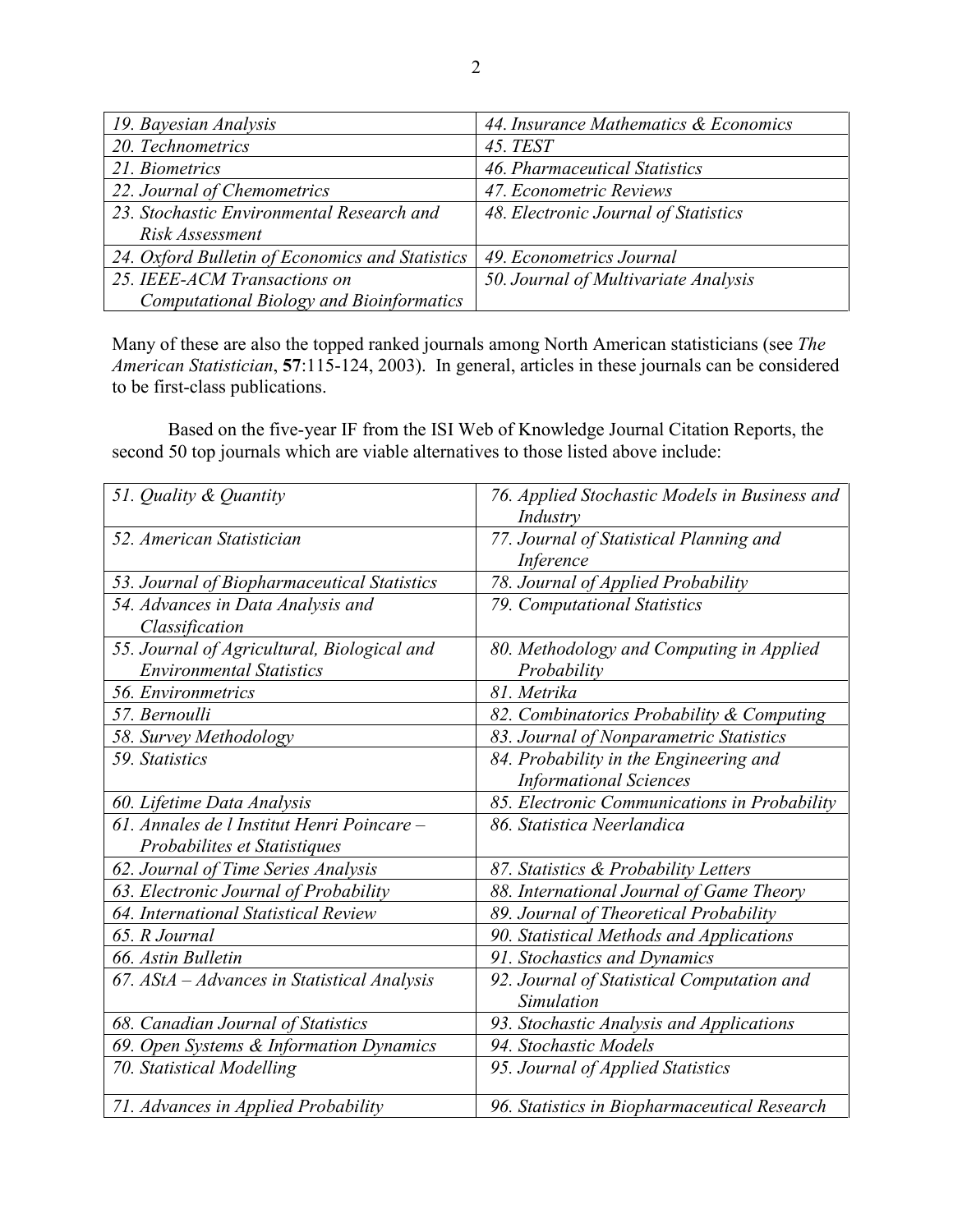| 19. Bayesian Analysis                           | 44. Insurance Mathematics & Economics |
|-------------------------------------------------|---------------------------------------|
| 20. Technometrics                               | <b>45. TEST</b>                       |
| 21. Biometrics                                  | 46. Pharmaceutical Statistics         |
| 22. Journal of Chemometrics                     | 47. Econometric Reviews               |
| 23. Stochastic Environmental Research and       | 48. Electronic Journal of Statistics  |
| Risk Assessment                                 |                                       |
| 24. Oxford Bulletin of Economics and Statistics | 49. Econometrics Journal              |
| 25. IEEE-ACM Transactions on                    | 50. Journal of Multivariate Analysis  |
| <b>Computational Biology and Bioinformatics</b> |                                       |

Many of these are also the topped ranked journals among North American statisticians (see *The American Statistician*, **57**:115-124, 2003). In general, articles in these journals can be considered to be first-class publications.

Based on the five-year IF from the ISI Web of Knowledge Journal Citation Reports, the second 50 top journals which are viable alternatives to those listed above include:

| 51. Quality & Quantity                        | 76. Applied Stochastic Models in Business and<br>Industry |
|-----------------------------------------------|-----------------------------------------------------------|
| 52. American Statistician                     | 77. Journal of Statistical Planning and                   |
|                                               | Inference                                                 |
| 53. Journal of Biopharmaceutical Statistics   | 78. Journal of Applied Probability                        |
| 54. Advances in Data Analysis and             | 79. Computational Statistics                              |
| Classification                                |                                                           |
| 55. Journal of Agricultural, Biological and   | 80. Methodology and Computing in Applied                  |
| <b>Environmental Statistics</b>               | Probability                                               |
| 56. Environmetrics                            | 81. Metrika                                               |
| 57. Bernoulli                                 | 82. Combinatorics Probability & Computing                 |
| 58. Survey Methodology                        | 83. Journal of Nonparametric Statistics                   |
| 59. Statistics                                | 84. Probability in the Engineering and                    |
|                                               | <b>Informational Sciences</b>                             |
| 60. Lifetime Data Analysis                    | 85. Electronic Communications in Probability              |
| 61. Annales de l Institut Henri Poincare –    | 86. Statistica Neerlandica                                |
| Probabilites et Statistiques                  |                                                           |
| 62. Journal of Time Series Analysis           | 87. Statistics & Probability Letters                      |
| 63. Electronic Journal of Probability         | 88. International Journal of Game Theory                  |
| 64. International Statistical Review          | 89. Journal of Theoretical Probability                    |
| 65. R Journal                                 | 90. Statistical Methods and Applications                  |
| 66. Astin Bulletin                            | 91. Stochastics and Dynamics                              |
| 67. $AStA - Advances$ in Statistical Analysis | 92. Journal of Statistical Computation and                |
|                                               | Simulation                                                |
| 68. Canadian Journal of Statistics            | 93. Stochastic Analysis and Applications                  |
| 69. Open Systems & Information Dynamics       | 94. Stochastic Models                                     |
| 70. Statistical Modelling                     | 95. Journal of Applied Statistics                         |
| 71. Advances in Applied Probability           | 96. Statistics in Biopharmaceutical Research              |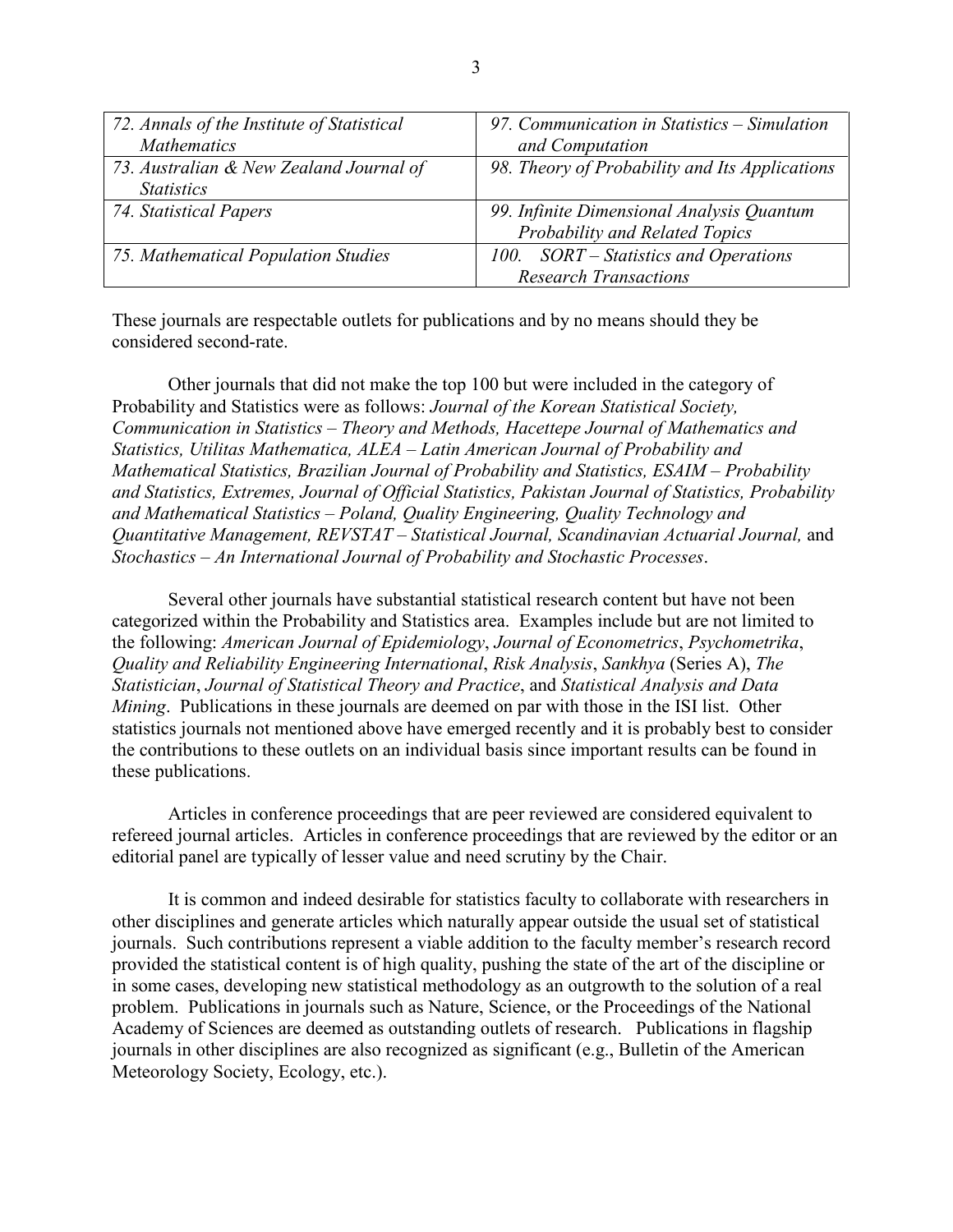| 72. Annals of the Institute of Statistical | 97. Communication in Statistics - Simulation   |
|--------------------------------------------|------------------------------------------------|
| <b>Mathematics</b>                         | and Computation                                |
| 73. Australian & New Zealand Journal of    | 98. Theory of Probability and Its Applications |
| <i>Statistics</i>                          |                                                |
| 74. Statistical Papers                     | 99. Infinite Dimensional Analysis Quantum      |
|                                            | Probability and Related Topics                 |
| 75. Mathematical Population Studies        | 100. SORT – Statistics and Operations          |
|                                            | <b>Research Transactions</b>                   |

These journals are respectable outlets for publications and by no means should they be considered second-rate.

Other journals that did not make the top 100 but were included in the category of Probability and Statistics were as follows: *Journal of the Korean Statistical Society, Communication in Statistics – Theory and Methods, Hacettepe Journal of Mathematics and Statistics, Utilitas Mathematica, ALEA – Latin American Journal of Probability and Mathematical Statistics, Brazilian Journal of Probability and Statistics, ESAIM – Probability and Statistics, Extremes, Journal of Official Statistics, Pakistan Journal of Statistics, Probability and Mathematical Statistics – Poland, Quality Engineering, Quality Technology and Quantitative Management, REVSTAT – Statistical Journal, Scandinavian Actuarial Journal,* and *Stochastics – An International Journal of Probability and Stochastic Processes*.

Several other journals have substantial statistical research content but have not been categorized within the Probability and Statistics area. Examples include but are not limited to the following: *American Journal of Epidemiology*, *Journal of Econometrics*, *Psychometrika*, *Quality and Reliability Engineering International*, *Risk Analysis*, *Sankhya* (Series A), *The Statistician*, *Journal of Statistical Theory and Practice*, and *Statistical Analysis and Data Mining*. Publications in these journals are deemed on par with those in the ISI list. Other statistics journals not mentioned above have emerged recently and it is probably best to consider the contributions to these outlets on an individual basis since important results can be found in these publications.

Articles in conference proceedings that are peer reviewed are considered equivalent to refereed journal articles. Articles in conference proceedings that are reviewed by the editor or an editorial panel are typically of lesser value and need scrutiny by the Chair.

It is common and indeed desirable for statistics faculty to collaborate with researchers in other disciplines and generate articles which naturally appear outside the usual set of statistical journals. Such contributions represent a viable addition to the faculty member's research record provided the statistical content is of high quality, pushing the state of the art of the discipline or in some cases, developing new statistical methodology as an outgrowth to the solution of a real problem. Publications in journals such as Nature, Science, or the Proceedings of the National Academy of Sciences are deemed as outstanding outlets of research. Publications in flagship journals in other disciplines are also recognized as significant (e.g., Bulletin of the American Meteorology Society, Ecology, etc.).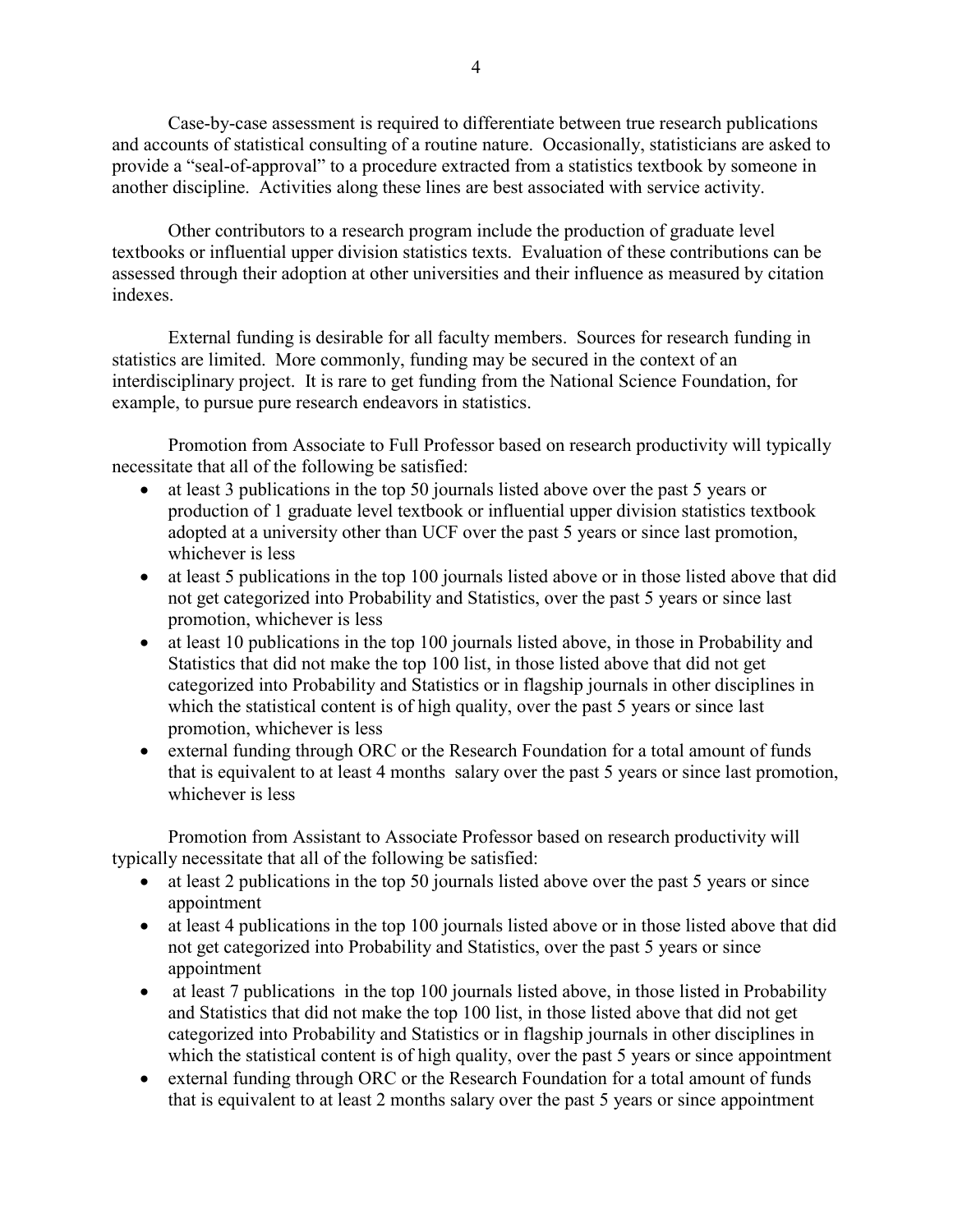Case-by-case assessment is required to differentiate between true research publications and accounts of statistical consulting of a routine nature. Occasionally, statisticians are asked to provide a "seal-of-approval" to a procedure extracted from a statistics textbook by someone in another discipline. Activities along these lines are best associated with service activity.

Other contributors to a research program include the production of graduate level textbooks or influential upper division statistics texts. Evaluation of these contributions can be assessed through their adoption at other universities and their influence as measured by citation indexes.

External funding is desirable for all faculty members. Sources for research funding in statistics are limited. More commonly, funding may be secured in the context of an interdisciplinary project. It is rare to get funding from the National Science Foundation, for example, to pursue pure research endeavors in statistics.

Promotion from Associate to Full Professor based on research productivity will typically necessitate that all of the following be satisfied:

- at least 3 publications in the top 50 journals listed above over the past 5 years or production of 1 graduate level textbook or influential upper division statistics textbook adopted at a university other than UCF over the past 5 years or since last promotion, whichever is less
- at least 5 publications in the top 100 journals listed above or in those listed above that did not get categorized into Probability and Statistics, over the past 5 years or since last promotion, whichever is less
- at least 10 publications in the top 100 journals listed above, in those in Probability and Statistics that did not make the top 100 list, in those listed above that did not get categorized into Probability and Statistics or in flagship journals in other disciplines in which the statistical content is of high quality, over the past 5 years or since last promotion, whichever is less
- external funding through ORC or the Research Foundation for a total amount of funds that is equivalent to at least 4 months salary over the past 5 years or since last promotion, whichever is less

Promotion from Assistant to Associate Professor based on research productivity will typically necessitate that all of the following be satisfied:

- at least 2 publications in the top 50 journals listed above over the past 5 years or since appointment
- at least 4 publications in the top 100 journals listed above or in those listed above that did not get categorized into Probability and Statistics, over the past 5 years or since appointment
- at least 7 publications in the top 100 journals listed above, in those listed in Probability and Statistics that did not make the top 100 list, in those listed above that did not get categorized into Probability and Statistics or in flagship journals in other disciplines in which the statistical content is of high quality, over the past 5 years or since appointment
- external funding through ORC or the Research Foundation for a total amount of funds that is equivalent to at least 2 months salary over the past 5 years or since appointment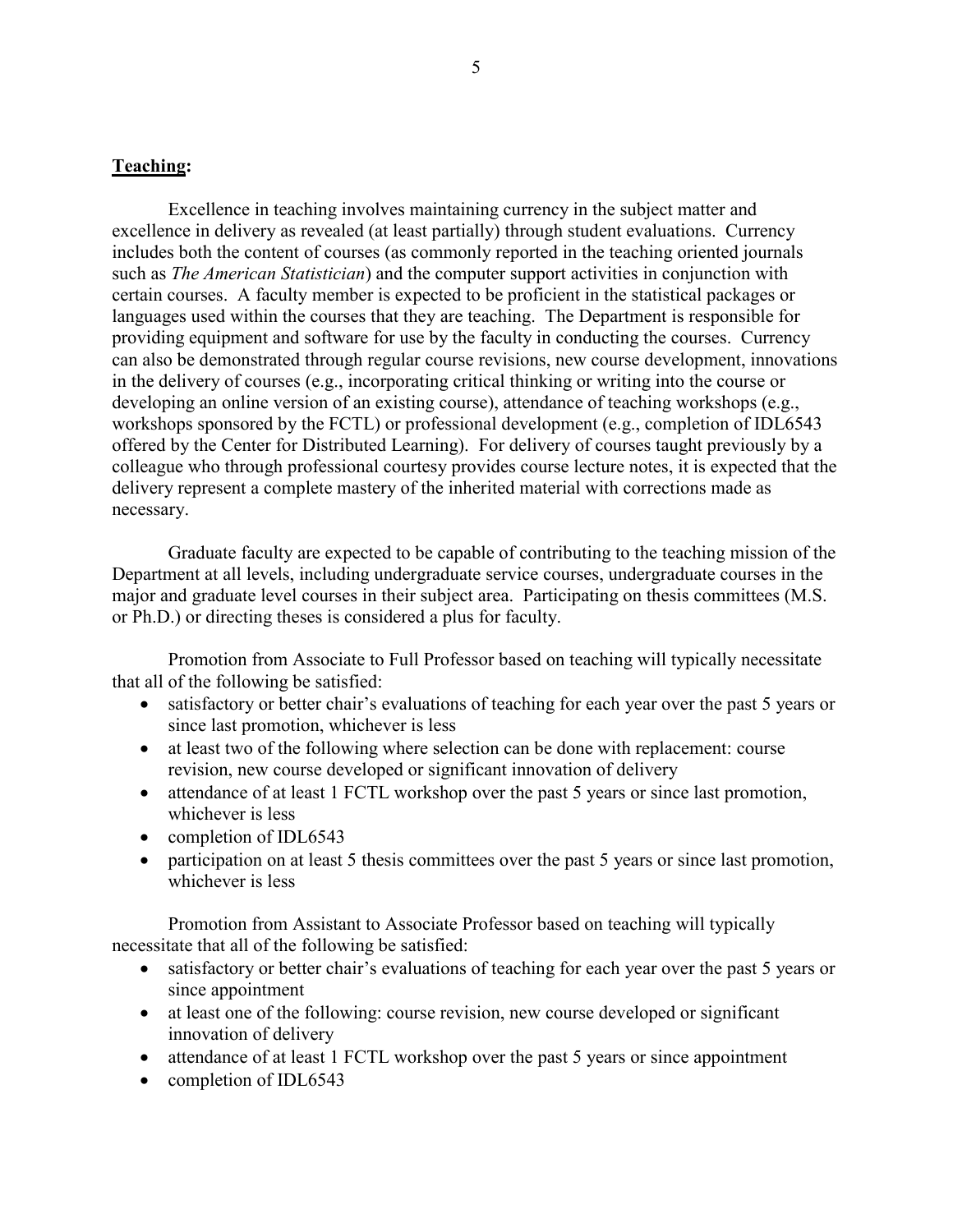## **Teaching:**

Excellence in teaching involves maintaining currency in the subject matter and excellence in delivery as revealed (at least partially) through student evaluations. Currency includes both the content of courses (as commonly reported in the teaching oriented journals such as *The American Statistician*) and the computer support activities in conjunction with certain courses. A faculty member is expected to be proficient in the statistical packages or languages used within the courses that they are teaching. The Department is responsible for providing equipment and software for use by the faculty in conducting the courses. Currency can also be demonstrated through regular course revisions, new course development, innovations in the delivery of courses (e.g., incorporating critical thinking or writing into the course or developing an online version of an existing course), attendance of teaching workshops (e.g., workshops sponsored by the FCTL) or professional development (e.g., completion of IDL6543 offered by the Center for Distributed Learning). For delivery of courses taught previously by a colleague who through professional courtesy provides course lecture notes, it is expected that the delivery represent a complete mastery of the inherited material with corrections made as necessary.

Graduate faculty are expected to be capable of contributing to the teaching mission of the Department at all levels, including undergraduate service courses, undergraduate courses in the major and graduate level courses in their subject area. Participating on thesis committees (M.S. or Ph.D.) or directing theses is considered a plus for faculty.

Promotion from Associate to Full Professor based on teaching will typically necessitate that all of the following be satisfied:

- satisfactory or better chair's evaluations of teaching for each year over the past 5 years or since last promotion, whichever is less
- at least two of the following where selection can be done with replacement: course revision, new course developed or significant innovation of delivery
- attendance of at least 1 FCTL workshop over the past 5 years or since last promotion, whichever is less
- completion of IDL6543
- participation on at least 5 thesis committees over the past 5 years or since last promotion, whichever is less

Promotion from Assistant to Associate Professor based on teaching will typically necessitate that all of the following be satisfied:

- satisfactory or better chair's evaluations of teaching for each year over the past 5 years or since appointment
- at least one of the following: course revision, new course developed or significant innovation of delivery
- attendance of at least 1 FCTL workshop over the past 5 years or since appointment
- completion of IDL6543